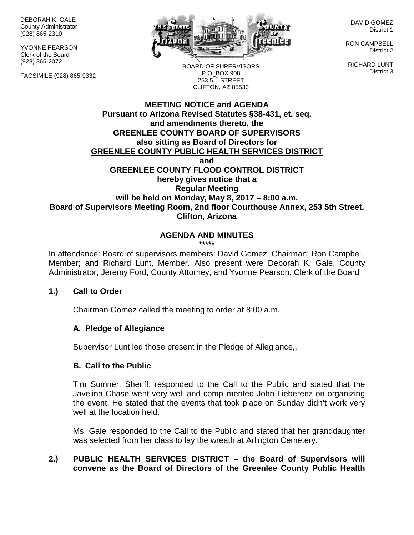DEBORAH K. GALE County Administrator (928) 865-2310

YVONNE PEARSON Clerk of the Board (928) 865-2072

FACSIMILE (928) 865-9332



DAVID GOMEZ District 1

RON CAMPBELL District 2

RICHARD LUNT District 3

BOARD OF SUPERVISORS P.O. BOX 908  $253.5$ <sup>TH</sup> STREET CLIFTON, AZ 85533

### **MEETING NOTICE and AGENDA Pursuant to Arizona Revised Statutes §38-431, et. seq. and amendments thereto, the GREENLEE COUNTY BOARD OF SUPERVISORS also sitting as Board of Directors for GREENLEE COUNTY PUBLIC HEALTH SERVICES DISTRICT and GREENLEE COUNTY FLOOD CONTROL DISTRICT hereby gives notice that a Regular Meeting will be held on Monday, May 8, 2017 – 8:00 a.m. Board of Supervisors Meeting Room, 2nd floor Courthouse Annex, 253 5th Street, Clifton, Arizona**

# **AGENDA AND MINUTES**

**\*\*\*\*\***

In attendance: Board of supervisors members: David Gomez, Chairman; Ron Campbell, Member; and Richard Lunt, Member. Also present were Deborah K. Gale, County Administrator, Jeremy Ford, County Attorney, and Yvonne Pearson, Clerk of the Board

### **1.) Call to Order**

Chairman Gomez called the meeting to order at 8:00 a.m.

#### **A. Pledge of Allegiance**

Supervisor Lunt led those present in the Pledge of Allegiance,.

#### **B. Call to the Public**

Tim Sumner, Sheriff, responded to the Call to the Public and stated that the Javelina Chase went very well and complimented John Lieberenz on organizing the event. He stated that the events that took place on Sunday didn't work very well at the location held.

Ms. Gale responded to the Call to the Public and stated that her granddaughter was selected from her class to lay the wreath at Arlington Cemetery.

### **2.) PUBLIC HEALTH SERVICES DISTRICT – the Board of Supervisors will convene as the Board of Directors of the Greenlee County Public Health**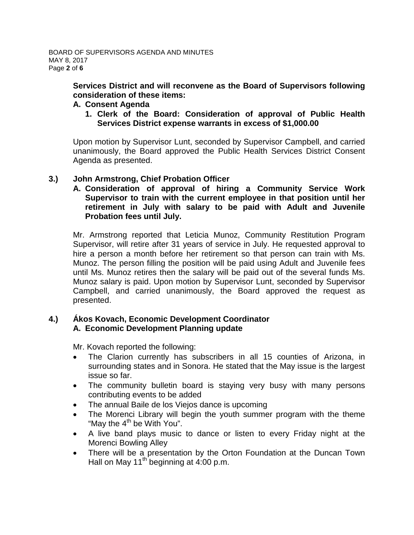**Services District and will reconvene as the Board of Supervisors following consideration of these items:**

### **A. Consent Agenda**

**1. Clerk of the Board: Consideration of approval of Public Health Services District expense warrants in excess of \$1,000.00**

Upon motion by Supervisor Lunt, seconded by Supervisor Campbell, and carried unanimously, the Board approved the Public Health Services District Consent Agenda as presented.

### **3.) John Armstrong, Chief Probation Officer**

**A. Consideration of approval of hiring a Community Service Work Supervisor to train with the current employee in that position until her retirement in July with salary to be paid with Adult and Juvenile Probation fees until July.**

Mr. Armstrong reported that Leticia Munoz, Community Restitution Program Supervisor, will retire after 31 years of service in July. He requested approval to hire a person a month before her retirement so that person can train with Ms. Munoz. The person filling the position will be paid using Adult and Juvenile fees until Ms. Munoz retires then the salary will be paid out of the several funds Ms. Munoz salary is paid. Upon motion by Supervisor Lunt, seconded by Supervisor Campbell, and carried unanimously, the Board approved the request as presented.

### **4.) Ákos Kovach, Economic Development Coordinator A. Economic Development Planning update**

Mr. Kovach reported the following:

- The Clarion currently has subscribers in all 15 counties of Arizona, in surrounding states and in Sonora. He stated that the May issue is the largest issue so far.
- The community bulletin board is staying very busy with many persons contributing events to be added
- The annual Baile de los Viejos dance is upcoming
- The Morenci Library will begin the youth summer program with the theme "May the  $4<sup>th</sup>$  be With You".
- A live band plays music to dance or listen to every Friday night at the Morenci Bowling Alley
- There will be a presentation by the Orton Foundation at the Duncan Town Hall on May 11<sup>th</sup> beginning at  $4:00$  p.m.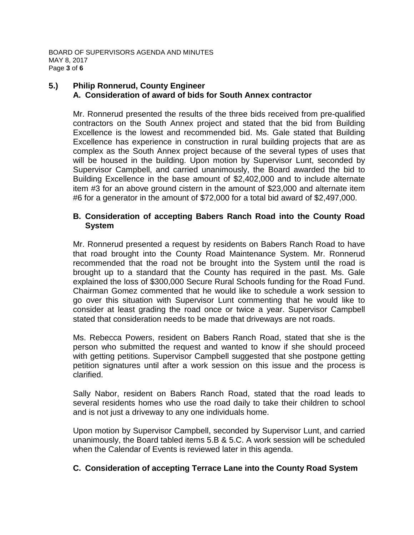BOARD OF SUPERVISORS AGENDA AND MINUTES MAY 8, 2017 Page **3** of **6**

### **5.) Philip Ronnerud, County Engineer A. Consideration of award of bids for South Annex contractor**

Mr. Ronnerud presented the results of the three bids received from pre-qualified contractors on the South Annex project and stated that the bid from Building Excellence is the lowest and recommended bid. Ms. Gale stated that Building Excellence has experience in construction in rural building projects that are as complex as the South Annex project because of the several types of uses that will be housed in the building. Upon motion by Supervisor Lunt, seconded by Supervisor Campbell, and carried unanimously, the Board awarded the bid to Building Excellence in the base amount of \$2,402,000 and to include alternate item #3 for an above ground cistern in the amount of \$23,000 and alternate item #6 for a generator in the amount of \$72,000 for a total bid award of \$2,497,000.

### **B. Consideration of accepting Babers Ranch Road into the County Road System**

Mr. Ronnerud presented a request by residents on Babers Ranch Road to have that road brought into the County Road Maintenance System. Mr. Ronnerud recommended that the road not be brought into the System until the road is brought up to a standard that the County has required in the past. Ms. Gale explained the loss of \$300,000 Secure Rural Schools funding for the Road Fund. Chairman Gomez commented that he would like to schedule a work session to go over this situation with Supervisor Lunt commenting that he would like to consider at least grading the road once or twice a year. Supervisor Campbell stated that consideration needs to be made that driveways are not roads.

Ms. Rebecca Powers, resident on Babers Ranch Road, stated that she is the person who submitted the request and wanted to know if she should proceed with getting petitions. Supervisor Campbell suggested that she postpone getting petition signatures until after a work session on this issue and the process is clarified.

Sally Nabor, resident on Babers Ranch Road, stated that the road leads to several residents homes who use the road daily to take their children to school and is not just a driveway to any one individuals home.

Upon motion by Supervisor Campbell, seconded by Supervisor Lunt, and carried unanimously, the Board tabled items 5.B & 5.C. A work session will be scheduled when the Calendar of Events is reviewed later in this agenda.

## **C. Consideration of accepting Terrace Lane into the County Road System**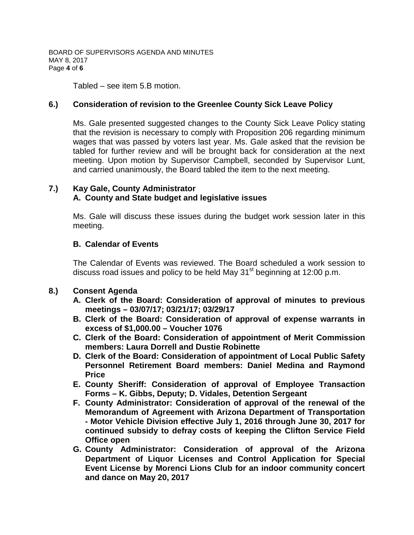BOARD OF SUPERVISORS AGENDA AND MINUTES MAY 8, 2017 Page **4** of **6**

Tabled – see item 5.B motion.

### **6.) Consideration of revision to the Greenlee County Sick Leave Policy**

Ms. Gale presented suggested changes to the County Sick Leave Policy stating that the revision is necessary to comply with Proposition 206 regarding minimum wages that was passed by voters last year. Ms. Gale asked that the revision be tabled for further review and will be brought back for consideration at the next meeting. Upon motion by Supervisor Campbell, seconded by Supervisor Lunt, and carried unanimously, the Board tabled the item to the next meeting.

## **7.) Kay Gale, County Administrator A. County and State budget and legislative issues**

Ms. Gale will discuss these issues during the budget work session later in this meeting.

## **B. Calendar of Events**

The Calendar of Events was reviewed. The Board scheduled a work session to discuss road issues and policy to be held May  $31<sup>st</sup>$  beginning at 12:00 p.m.

### **8.) Consent Agenda**

- **A. Clerk of the Board: Consideration of approval of minutes to previous meetings – 03/07/17; 03/21/17; 03/29/17**
- **B. Clerk of the Board: Consideration of approval of expense warrants in excess of \$1,000.00 – Voucher 1076**
- **C. Clerk of the Board: Consideration of appointment of Merit Commission members: Laura Dorrell and Dustie Robinette**
- **D. Clerk of the Board: Consideration of appointment of Local Public Safety Personnel Retirement Board members: Daniel Medina and Raymond Price**
- **E. County Sheriff: Consideration of approval of Employee Transaction Forms – K. Gibbs, Deputy; D. Vidales, Detention Sergeant**
- **F. County Administrator: Consideration of approval of the renewal of the Memorandum of Agreement with Arizona Department of Transportation - Motor Vehicle Division effective July 1, 2016 through June 30, 2017 for continued subsidy to defray costs of keeping the Clifton Service Field Office open**
- **G. County Administrator: Consideration of approval of the Arizona Department of Liquor Licenses and Control Application for Special Event License by Morenci Lions Club for an indoor community concert and dance on May 20, 2017**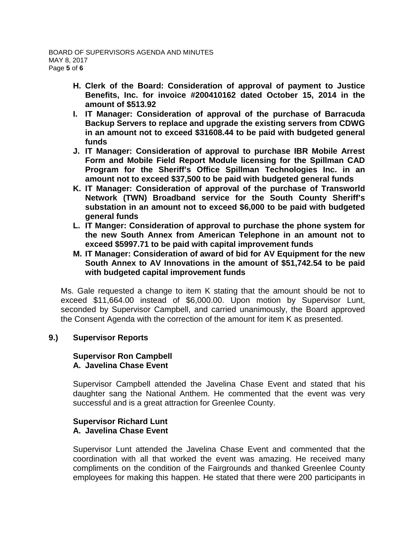- **H. Clerk of the Board: Consideration of approval of payment to Justice Benefits, Inc. for invoice #200410162 dated October 15, 2014 in the amount of \$513.92**
- **I. IT Manager: Consideration of approval of the purchase of Barracuda Backup Servers to replace and upgrade the existing servers from CDWG in an amount not to exceed \$31608.44 to be paid with budgeted general funds**
- **J. IT Manager: Consideration of approval to purchase IBR Mobile Arrest Form and Mobile Field Report Module licensing for the Spillman CAD Program for the Sheriff's Office Spillman Technologies Inc. in an amount not to exceed \$37,500 to be paid with budgeted general funds**
- **K. IT Manager: Consideration of approval of the purchase of Transworld Network (TWN) Broadband service for the South County Sheriff's substation in an amount not to exceed \$6,000 to be paid with budgeted general funds**
- **L. IT Manger: Consideration of approval to purchase the phone system for the new South Annex from American Telephone in an amount not to exceed \$5997.71 to be paid with capital improvement funds**
- **M. IT Manager: Consideration of award of bid for AV Equipment for the new South Annex to AV Innovations in the amount of \$51,742.54 to be paid with budgeted capital improvement funds**

Ms. Gale requested a change to item K stating that the amount should be not to exceed \$11,664.00 instead of \$6,000.00. Upon motion by Supervisor Lunt, seconded by Supervisor Campbell, and carried unanimously, the Board approved the Consent Agenda with the correction of the amount for item K as presented.

### **9.) Supervisor Reports**

#### **Supervisor Ron Campbell A. Javelina Chase Event**

Supervisor Campbell attended the Javelina Chase Event and stated that his daughter sang the National Anthem. He commented that the event was very successful and is a great attraction for Greenlee County.

### **Supervisor Richard Lunt A. Javelina Chase Event**

Supervisor Lunt attended the Javelina Chase Event and commented that the coordination with all that worked the event was amazing. He received many compliments on the condition of the Fairgrounds and thanked Greenlee County employees for making this happen. He stated that there were 200 participants in